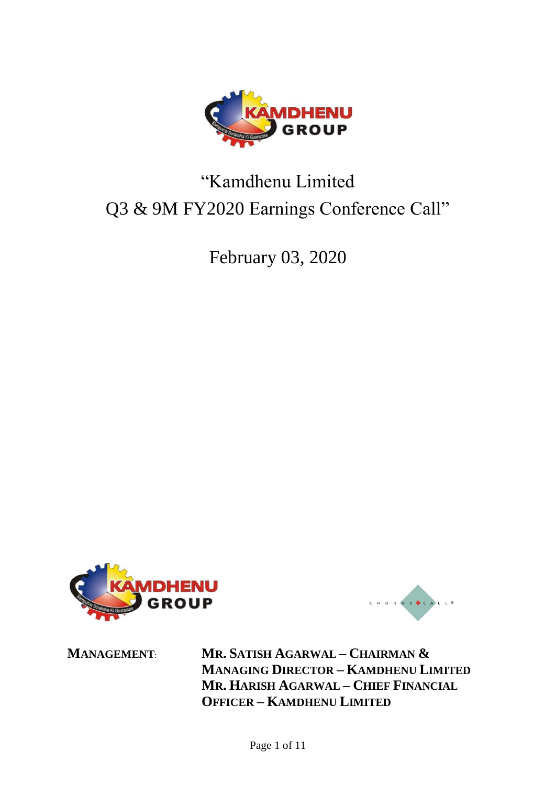

# "Kamdhenu Limited Q3 & 9M FY2020 Earnings Conference Call"

February 03, 2020





**MANAGEMENT**: **MR. SATISH AGARWAL – CHAIRMAN & MANAGING DIRECTOR – KAMDHENU LIMITED MR. HARISH AGARWAL – CHIEF FINANCIAL OFFICER – KAMDHENU LIMITED**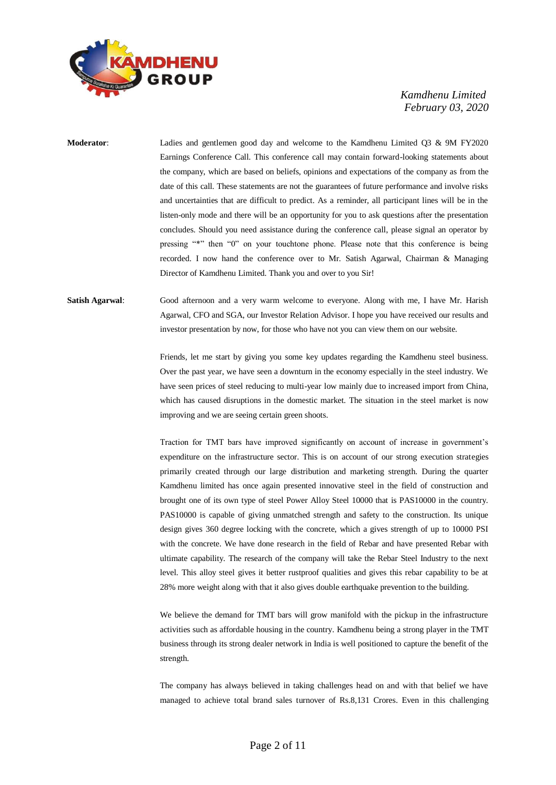

**Moderator**: Ladies and gentlemen good day and welcome to the Kamdhenu Limited Q3 & 9M FY2020 Earnings Conference Call. This conference call may contain forward-looking statements about the company, which are based on beliefs, opinions and expectations of the company as from the date of this call. These statements are not the guarantees of future performance and involve risks and uncertainties that are difficult to predict. As a reminder, all participant lines will be in the listen-only mode and there will be an opportunity for you to ask questions after the presentation concludes. Should you need assistance during the conference call, please signal an operator by pressing "\*" then "0" on your touchtone phone. Please note that this conference is being recorded. I now hand the conference over to Mr. Satish Agarwal, Chairman & Managing Director of Kamdhenu Limited. Thank you and over to you Sir!

**Satish Agarwal**: Good afternoon and a very warm welcome to everyone. Along with me, I have Mr. Harish Agarwal, CFO and SGA, our Investor Relation Advisor. I hope you have received our results and investor presentation by now, for those who have not you can view them on our website.

> Friends, let me start by giving you some key updates regarding the Kamdhenu steel business. Over the past year, we have seen a downturn in the economy especially in the steel industry. We have seen prices of steel reducing to multi-year low mainly due to increased import from China, which has caused disruptions in the domestic market. The situation in the steel market is now improving and we are seeing certain green shoots.

> Traction for TMT bars have improved significantly on account of increase in government's expenditure on the infrastructure sector. This is on account of our strong execution strategies primarily created through our large distribution and marketing strength. During the quarter Kamdhenu limited has once again presented innovative steel in the field of construction and brought one of its own type of steel Power Alloy Steel 10000 that is PAS10000 in the country. PAS10000 is capable of giving unmatched strength and safety to the construction. Its unique design gives 360 degree locking with the concrete, which a gives strength of up to 10000 PSI with the concrete. We have done research in the field of Rebar and have presented Rebar with ultimate capability. The research of the company will take the Rebar Steel Industry to the next level. This alloy steel gives it better rustproof qualities and gives this rebar capability to be at 28% more weight along with that it also gives double earthquake prevention to the building.

> We believe the demand for TMT bars will grow manifold with the pickup in the infrastructure activities such as affordable housing in the country. Kamdhenu being a strong player in the TMT business through its strong dealer network in India is well positioned to capture the benefit of the strength.

> The company has always believed in taking challenges head on and with that belief we have managed to achieve total brand sales turnover of Rs.8,131 Crores. Even in this challenging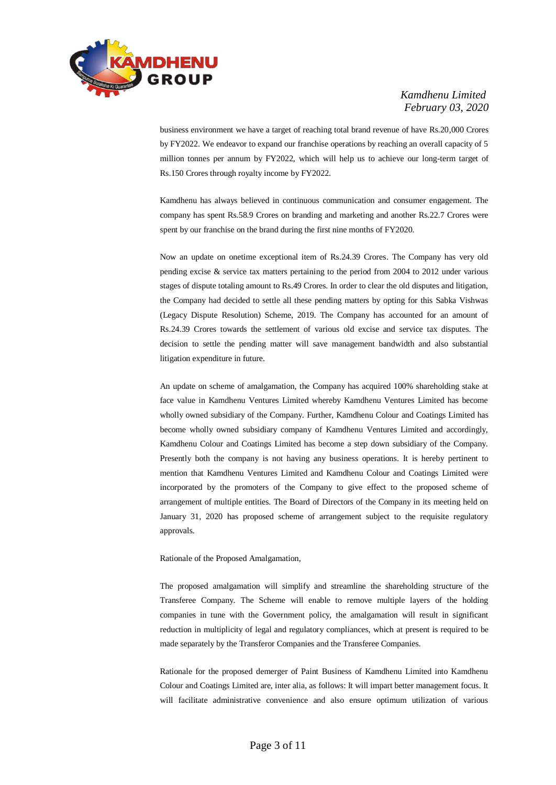

business environment we have a target of reaching total brand revenue of have Rs.20,000 Crores by FY2022. We endeavor to expand our franchise operations by reaching an overall capacity of 5 million tonnes per annum by FY2022, which will help us to achieve our long-term target of Rs.150 Crores through royalty income by FY2022.

Kamdhenu has always believed in continuous communication and consumer engagement. The company has spent Rs.58.9 Crores on branding and marketing and another Rs.22.7 Crores were spent by our franchise on the brand during the first nine months of FY2020.

Now an update on onetime exceptional item of Rs.24.39 Crores. The Company has very old pending excise & service tax matters pertaining to the period from 2004 to 2012 under various stages of dispute totaling amount to Rs.49 Crores. In order to clear the old disputes and litigation, the Company had decided to settle all these pending matters by opting for this Sabka Vishwas (Legacy Dispute Resolution) Scheme, 2019. The Company has accounted for an amount of Rs.24.39 Crores towards the settlement of various old excise and service tax disputes. The decision to settle the pending matter will save management bandwidth and also substantial litigation expenditure in future.

An update on scheme of amalgamation, the Company has acquired 100% shareholding stake at face value in Kamdhenu Ventures Limited whereby Kamdhenu Ventures Limited has become wholly owned subsidiary of the Company. Further, Kamdhenu Colour and Coatings Limited has become wholly owned subsidiary company of Kamdhenu Ventures Limited and accordingly, Kamdhenu Colour and Coatings Limited has become a step down subsidiary of the Company. Presently both the company is not having any business operations. It is hereby pertinent to mention that Kamdhenu Ventures Limited and Kamdhenu Colour and Coatings Limited were incorporated by the promoters of the Company to give effect to the proposed scheme of arrangement of multiple entities. The Board of Directors of the Company in its meeting held on January 31, 2020 has proposed scheme of arrangement subject to the requisite regulatory approvals.

#### Rationale of the Proposed Amalgamation,

The proposed amalgamation will simplify and streamline the shareholding structure of the Transferee Company. The Scheme will enable to remove multiple layers of the holding companies in tune with the Government policy, the amalgamation will result in significant reduction in multiplicity of legal and regulatory compliances, which at present is required to be made separately by the Transferor Companies and the Transferee Companies.

Rationale for the proposed demerger of Paint Business of Kamdhenu Limited into Kamdhenu Colour and Coatings Limited are, inter alia, as follows: It will impart better management focus. It will facilitate administrative convenience and also ensure optimum utilization of various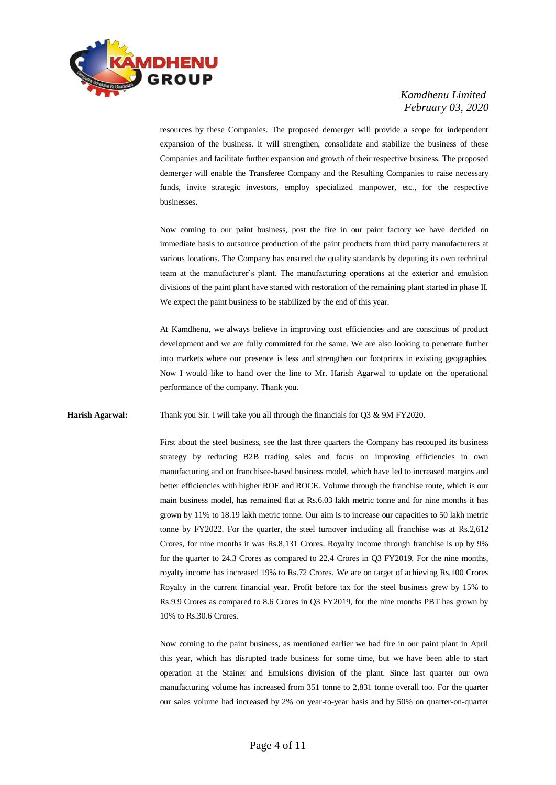

resources by these Companies. The proposed demerger will provide a scope for independent expansion of the business. It will strengthen, consolidate and stabilize the business of these Companies and facilitate further expansion and growth of their respective business. The proposed demerger will enable the Transferee Company and the Resulting Companies to raise necessary funds, invite strategic investors, employ specialized manpower, etc., for the respective businesses.

Now coming to our paint business, post the fire in our paint factory we have decided on immediate basis to outsource production of the paint products from third party manufacturers at various locations. The Company has ensured the quality standards by deputing its own technical team at the manufacturer's plant. The manufacturing operations at the exterior and emulsion divisions of the paint plant have started with restoration of the remaining plant started in phase II. We expect the paint business to be stabilized by the end of this year.

At Kamdhenu, we always believe in improving cost efficiencies and are conscious of product development and we are fully committed for the same. We are also looking to penetrate further into markets where our presence is less and strengthen our footprints in existing geographies. Now I would like to hand over the line to Mr. Harish Agarwal to update on the operational performance of the company. Thank you.

**Harish Agarwal:** Thank you Sir. I will take you all through the financials for Q3 & 9M FY2020.

First about the steel business, see the last three quarters the Company has recouped its business strategy by reducing B2B trading sales and focus on improving efficiencies in own manufacturing and on franchisee-based business model, which have led to increased margins and better efficiencies with higher ROE and ROCE. Volume through the franchise route, which is our main business model, has remained flat at Rs.6.03 lakh metric tonne and for nine months it has grown by 11% to 18.19 lakh metric tonne. Our aim is to increase our capacities to 50 lakh metric tonne by FY2022. For the quarter, the steel turnover including all franchise was at Rs.2,612 Crores, for nine months it was Rs.8,131 Crores. Royalty income through franchise is up by 9% for the quarter to 24.3 Crores as compared to 22.4 Crores in Q3 FY2019. For the nine months, royalty income has increased 19% to Rs.72 Crores. We are on target of achieving Rs.100 Crores Royalty in the current financial year. Profit before tax for the steel business grew by 15% to Rs.9.9 Crores as compared to 8.6 Crores in Q3 FY2019, for the nine months PBT has grown by 10% to Rs.30.6 Crores.

Now coming to the paint business, as mentioned earlier we had fire in our paint plant in April this year, which has disrupted trade business for some time, but we have been able to start operation at the Stainer and Emulsions division of the plant. Since last quarter our own manufacturing volume has increased from 351 tonne to 2,831 tonne overall too. For the quarter our sales volume had increased by 2% on year-to-year basis and by 50% on quarter-on-quarter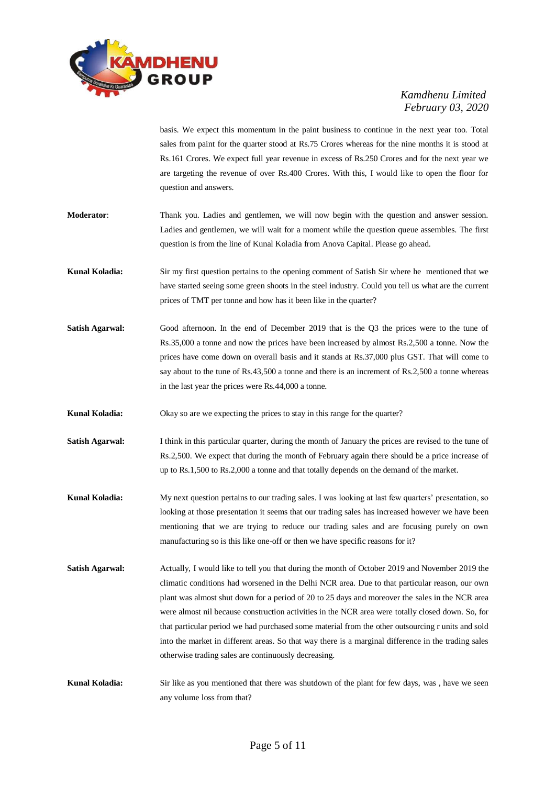

basis. We expect this momentum in the paint business to continue in the next year too. Total sales from paint for the quarter stood at Rs.75 Crores whereas for the nine months it is stood at Rs.161 Crores. We expect full year revenue in excess of Rs.250 Crores and for the next year we are targeting the revenue of over Rs.400 Crores. With this, I would like to open the floor for question and answers.

- **Moderator**: Thank you. Ladies and gentlemen, we will now begin with the question and answer session. Ladies and gentlemen, we will wait for a moment while the question queue assembles. The first question is from the line of Kunal Koladia from Anova Capital. Please go ahead.
- **Kunal Koladia:** Sir my first question pertains to the opening comment of Satish Sir where he mentioned that we have started seeing some green shoots in the steel industry. Could you tell us what are the current prices of TMT per tonne and how has it been like in the quarter?
- **Satish Agarwal:** Good afternoon. In the end of December 2019 that is the Q3 the prices were to the tune of Rs.35,000 a tonne and now the prices have been increased by almost Rs.2,500 a tonne. Now the prices have come down on overall basis and it stands at Rs.37,000 plus GST. That will come to say about to the tune of Rs.43,500 a tonne and there is an increment of Rs.2,500 a tonne whereas in the last year the prices were Rs.44,000 a tonne.
- **Kunal Koladia:** Okay so are we expecting the prices to stay in this range for the quarter?
- **Satish Agarwal:** I think in this particular quarter, during the month of January the prices are revised to the tune of Rs.2,500. We expect that during the month of February again there should be a price increase of up to Rs.1,500 to Rs.2,000 a tonne and that totally depends on the demand of the market.
- **Kunal Koladia:** My next question pertains to our trading sales. I was looking at last few quarters' presentation, so looking at those presentation it seems that our trading sales has increased however we have been mentioning that we are trying to reduce our trading sales and are focusing purely on own manufacturing so is this like one-off or then we have specific reasons for it?
- **Satish Agarwal:** Actually, I would like to tell you that during the month of October 2019 and November 2019 the climatic conditions had worsened in the Delhi NCR area. Due to that particular reason, our own plant was almost shut down for a period of 20 to 25 days and moreover the sales in the NCR area were almost nil because construction activities in the NCR area were totally closed down. So, for that particular period we had purchased some material from the other outsourcing r units and sold into the market in different areas. So that way there is a marginal difference in the trading sales otherwise trading sales are continuously decreasing.

**Kunal Koladia:** Sir like as you mentioned that there was shutdown of the plant for few days, was , have we seen any volume loss from that?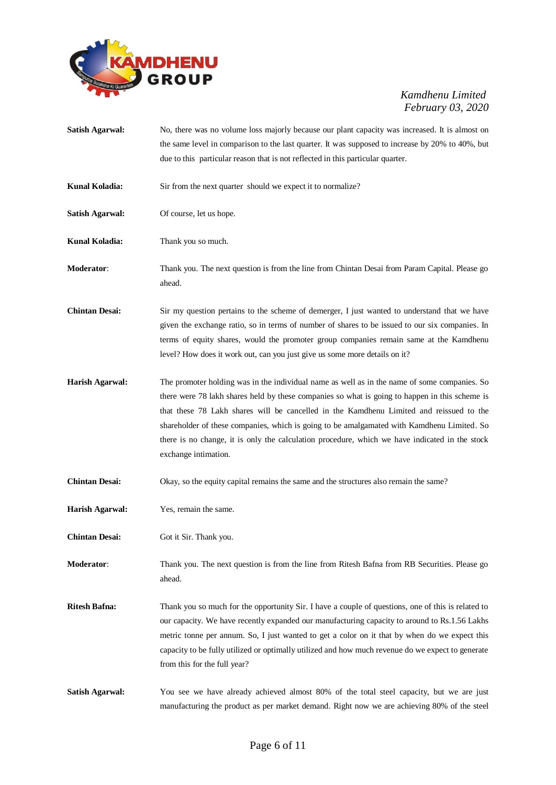

| <b>Satish Agarwal:</b> | No, there was no volume loss majorly because our plant capacity was increased. It is almost on<br>the same level in comparison to the last quarter. It was supposed to increase by 20% to 40%, but                                                                                                                                                                                                                                                                                                                |
|------------------------|-------------------------------------------------------------------------------------------------------------------------------------------------------------------------------------------------------------------------------------------------------------------------------------------------------------------------------------------------------------------------------------------------------------------------------------------------------------------------------------------------------------------|
|                        | due to this particular reason that is not reflected in this particular quarter.                                                                                                                                                                                                                                                                                                                                                                                                                                   |
| <b>Kunal Koladia:</b>  | Sir from the next quarter should we expect it to normalize?                                                                                                                                                                                                                                                                                                                                                                                                                                                       |
| <b>Satish Agarwal:</b> | Of course, let us hope.                                                                                                                                                                                                                                                                                                                                                                                                                                                                                           |
| Kunal Koladia:         | Thank you so much.                                                                                                                                                                                                                                                                                                                                                                                                                                                                                                |
| <b>Moderator:</b>      | Thank you. The next question is from the line from Chintan Desai from Param Capital. Please go<br>ahead.                                                                                                                                                                                                                                                                                                                                                                                                          |
| <b>Chintan Desai:</b>  | Sir my question pertains to the scheme of demerger, I just wanted to understand that we have<br>given the exchange ratio, so in terms of number of shares to be issued to our six companies. In<br>terms of equity shares, would the promoter group companies remain same at the Kamdhenu<br>level? How does it work out, can you just give us some more details on it?                                                                                                                                           |
| <b>Harish Agarwal:</b> | The promoter holding was in the individual name as well as in the name of some companies. So<br>there were 78 lakh shares held by these companies so what is going to happen in this scheme is<br>that these 78 Lakh shares will be cancelled in the Kamdhenu Limited and reissued to the<br>shareholder of these companies, which is going to be amalgamated with Kamdhenu Limited. So<br>there is no change, it is only the calculation procedure, which we have indicated in the stock<br>exchange intimation. |
| <b>Chintan Desai:</b>  | Okay, so the equity capital remains the same and the structures also remain the same?                                                                                                                                                                                                                                                                                                                                                                                                                             |
| Harish Agarwal:        | Yes, remain the same.                                                                                                                                                                                                                                                                                                                                                                                                                                                                                             |
| <b>Chintan Desai:</b>  | Got it Sir. Thank you.                                                                                                                                                                                                                                                                                                                                                                                                                                                                                            |
| Moderator:             | Thank you. The next question is from the line from Ritesh Bafna from RB Securities. Please go<br>ahead.                                                                                                                                                                                                                                                                                                                                                                                                           |
| <b>Ritesh Bafna:</b>   | Thank you so much for the opportunity Sir. I have a couple of questions, one of this is related to<br>our capacity. We have recently expanded our manufacturing capacity to around to Rs.1.56 Lakhs<br>metric tonne per annum. So, I just wanted to get a color on it that by when do we expect this<br>capacity to be fully utilized or optimally utilized and how much revenue do we expect to generate<br>from this for the full year?                                                                         |
| <b>Satish Agarwal:</b> | You see we have already achieved almost 80% of the total steel capacity, but we are just<br>manufacturing the product as per market demand. Right now we are achieving 80% of the steel                                                                                                                                                                                                                                                                                                                           |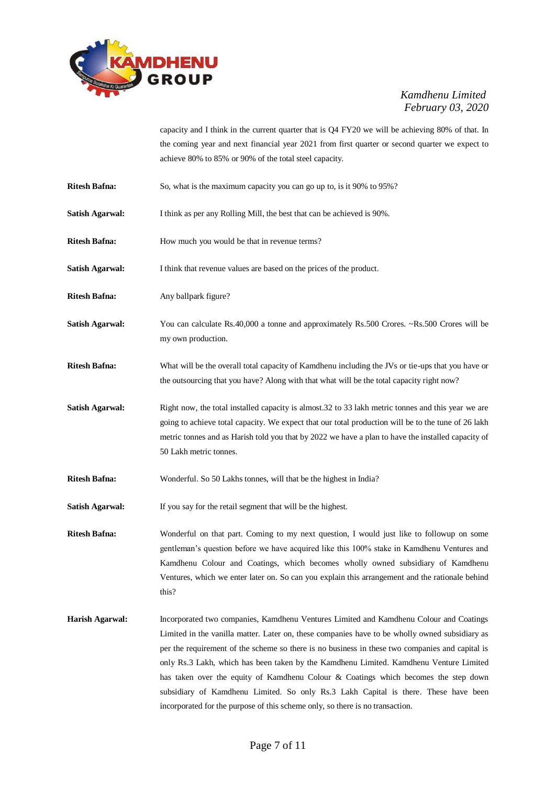

capacity and I think in the current quarter that is Q4 FY20 we will be achieving 80% of that. In the coming year and next financial year 2021 from first quarter or second quarter we expect to achieve 80% to 85% or 90% of the total steel capacity.

- **Ritesh Bafna:** So, what is the maximum capacity you can go up to, is it 90% to 95%?
- **Satish Agarwal:** I think as per any Rolling Mill, the best that can be achieved is 90%.
- **Ritesh Bafna:** How much you would be that in revenue terms?
- Satish Agarwal: I think that revenue values are based on the prices of the product.
- **Ritesh Bafna:** Any ballpark figure?
- **Satish Agarwal:** You can calculate Rs.40,000 a tonne and approximately Rs.500 Crores. ~Rs.500 Crores will be my own production.
- **Ritesh Bafna:** What will be the overall total capacity of Kamdhenu including the JVs or tie-ups that you have or the outsourcing that you have? Along with that what will be the total capacity right now?
- **Satish Agarwal:** Right now, the total installed capacity is almost.32 to 33 lakh metric tonnes and this year we are going to achieve total capacity. We expect that our total production will be to the tune of 26 lakh metric tonnes and as Harish told you that by 2022 we have a plan to have the installed capacity of 50 Lakh metric tonnes.
- **Ritesh Bafna:** Wonderful. So 50 Lakhs tonnes, will that be the highest in India?
- **Satish Agarwal:** If you say for the retail segment that will be the highest.

**Ritesh Bafna:** Wonderful on that part. Coming to my next question, I would just like to followup on some gentleman's question before we have acquired like this 100% stake in Kamdhenu Ventures and Kamdhenu Colour and Coatings, which becomes wholly owned subsidiary of Kamdhenu Ventures, which we enter later on. So can you explain this arrangement and the rationale behind this?

**Harish Agarwal:** Incorporated two companies, Kamdhenu Ventures Limited and Kamdhenu Colour and Coatings Limited in the vanilla matter. Later on, these companies have to be wholly owned subsidiary as per the requirement of the scheme so there is no business in these two companies and capital is only Rs.3 Lakh, which has been taken by the Kamdhenu Limited. Kamdhenu Venture Limited has taken over the equity of Kamdhenu Colour & Coatings which becomes the step down subsidiary of Kamdhenu Limited. So only Rs.3 Lakh Capital is there. These have been incorporated for the purpose of this scheme only, so there is no transaction.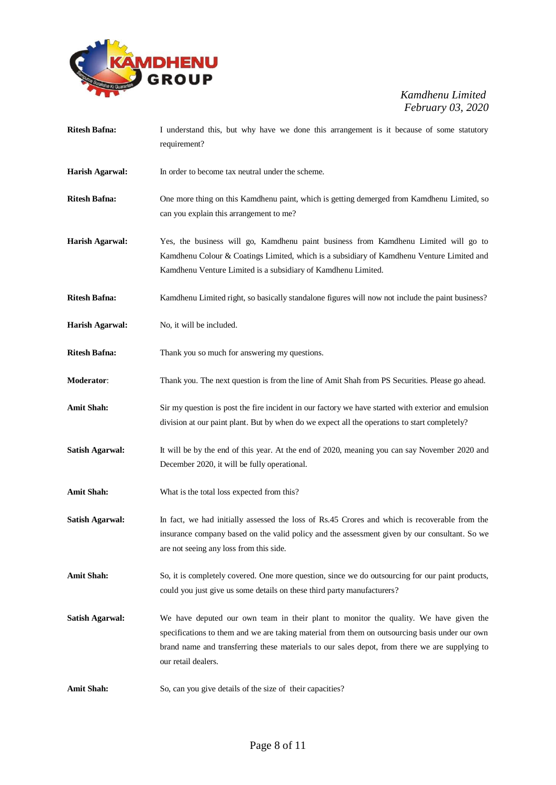

- **Ritesh Bafna:** I understand this, but why have we done this arrangement is it because of some statutory requirement?
- **Harish Agarwal:** In order to become tax neutral under the scheme.
- **Ritesh Bafna:** One more thing on this Kamdhenu paint, which is getting demerged from Kamdhenu Limited, so can you explain this arrangement to me?
- **Harish Agarwal:** Yes, the business will go, Kamdhenu paint business from Kamdhenu Limited will go to Kamdhenu Colour & Coatings Limited, which is a subsidiary of Kamdhenu Venture Limited and Kamdhenu Venture Limited is a subsidiary of Kamdhenu Limited.
- **Ritesh Bafna:** Kamdhenu Limited right, so basically standalone figures will now not include the paint business?
- **Harish Agarwal:** No, it will be included.
- **Ritesh Bafna:** Thank you so much for answering my questions.
- **Moderator**: Thank you. The next question is from the line of Amit Shah from PS Securities. Please go ahead.
- **Amit Shah:** Sir my question is post the fire incident in our factory we have started with exterior and emulsion division at our paint plant. But by when do we expect all the operations to start completely?
- **Satish Agarwal:** It will be by the end of this year. At the end of 2020, meaning you can say November 2020 and December 2020, it will be fully operational.
- Amit Shah: What is the total loss expected from this?
- **Satish Agarwal:** In fact, we had initially assessed the loss of Rs.45 Crores and which is recoverable from the insurance company based on the valid policy and the assessment given by our consultant. So we are not seeing any loss from this side.
- Amit Shah: So, it is completely covered. One more question, since we do outsourcing for our paint products, could you just give us some details on these third party manufacturers?
- **Satish Agarwal:** We have deputed our own team in their plant to monitor the quality. We have given the specifications to them and we are taking material from them on outsourcing basis under our own brand name and transferring these materials to our sales depot, from there we are supplying to our retail dealers.
- Amit Shah: So, can you give details of the size of their capacities?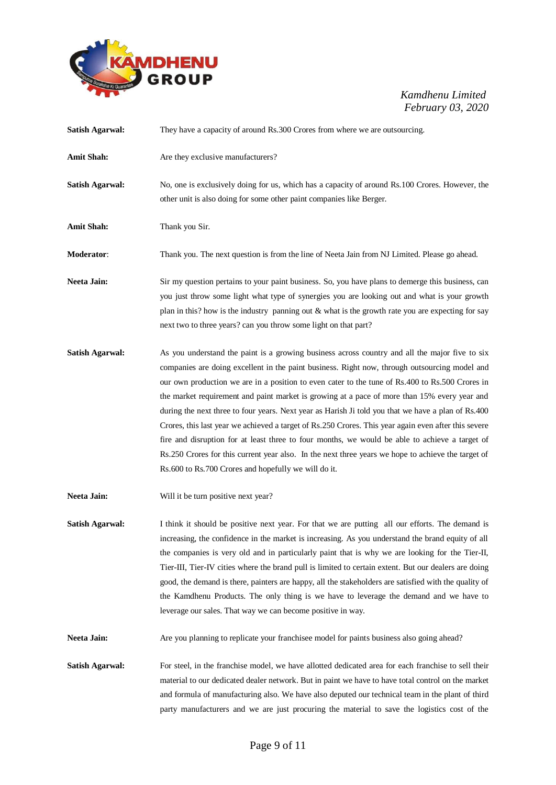

| <b>Satish Agarwal:</b> | They have a capacity of around Rs.300 Crores from where we are outsourcing.                                                                                                                                                                                                                                                                                                                                                                                                                                                                                                                                                                                                                                                                                                                                                                                                      |
|------------------------|----------------------------------------------------------------------------------------------------------------------------------------------------------------------------------------------------------------------------------------------------------------------------------------------------------------------------------------------------------------------------------------------------------------------------------------------------------------------------------------------------------------------------------------------------------------------------------------------------------------------------------------------------------------------------------------------------------------------------------------------------------------------------------------------------------------------------------------------------------------------------------|
| <b>Amit Shah:</b>      | Are they exclusive manufacturers?                                                                                                                                                                                                                                                                                                                                                                                                                                                                                                                                                                                                                                                                                                                                                                                                                                                |
| <b>Satish Agarwal:</b> | No, one is exclusively doing for us, which has a capacity of around Rs.100 Crores. However, the<br>other unit is also doing for some other paint companies like Berger.                                                                                                                                                                                                                                                                                                                                                                                                                                                                                                                                                                                                                                                                                                          |
| <b>Amit Shah:</b>      | Thank you Sir.                                                                                                                                                                                                                                                                                                                                                                                                                                                                                                                                                                                                                                                                                                                                                                                                                                                                   |
| <b>Moderator:</b>      | Thank you. The next question is from the line of Neeta Jain from NJ Limited. Please go ahead.                                                                                                                                                                                                                                                                                                                                                                                                                                                                                                                                                                                                                                                                                                                                                                                    |
| <b>Neeta Jain:</b>     | Sir my question pertains to your paint business. So, you have plans to demerge this business, can<br>you just throw some light what type of synergies you are looking out and what is your growth<br>plan in this? how is the industry panning out & what is the growth rate you are expecting for say<br>next two to three years? can you throw some light on that part?                                                                                                                                                                                                                                                                                                                                                                                                                                                                                                        |
| <b>Satish Agarwal:</b> | As you understand the paint is a growing business across country and all the major five to six<br>companies are doing excellent in the paint business. Right now, through outsourcing model and<br>our own production we are in a position to even cater to the tune of Rs.400 to Rs.500 Crores in<br>the market requirement and paint market is growing at a pace of more than 15% every year and<br>during the next three to four years. Next year as Harish Ji told you that we have a plan of Rs.400<br>Crores, this last year we achieved a target of Rs.250 Crores. This year again even after this severe<br>fire and disruption for at least three to four months, we would be able to achieve a target of<br>Rs.250 Crores for this current year also. In the next three years we hope to achieve the target of<br>Rs.600 to Rs.700 Crores and hopefully we will do it. |
| Neeta Jain:            | Will it be turn positive next year?                                                                                                                                                                                                                                                                                                                                                                                                                                                                                                                                                                                                                                                                                                                                                                                                                                              |
| <b>Satish Agarwal:</b> | I think it should be positive next year. For that we are putting all our efforts. The demand is<br>increasing, the confidence in the market is increasing. As you understand the brand equity of all<br>the companies is very old and in particularly paint that is why we are looking for the Tier-II,<br>Tier-III, Tier-IV cities where the brand pull is limited to certain extent. But our dealers are doing<br>good, the demand is there, painters are happy, all the stakeholders are satisfied with the quality of<br>the Kamdhenu Products. The only thing is we have to leverage the demand and we have to<br>leverage our sales. That way we can become positive in way.                                                                                                                                                                                               |
| Neeta Jain:            | Are you planning to replicate your franchisee model for paints business also going ahead?                                                                                                                                                                                                                                                                                                                                                                                                                                                                                                                                                                                                                                                                                                                                                                                        |
| <b>Satish Agarwal:</b> | For steel, in the franchise model, we have allotted dedicated area for each franchise to sell their<br>material to our dedicated dealer network. But in paint we have to have total control on the market<br>and formula of manufacturing also. We have also deputed our technical team in the plant of third<br>party manufacturers and we are just procuring the material to save the logistics cost of the                                                                                                                                                                                                                                                                                                                                                                                                                                                                    |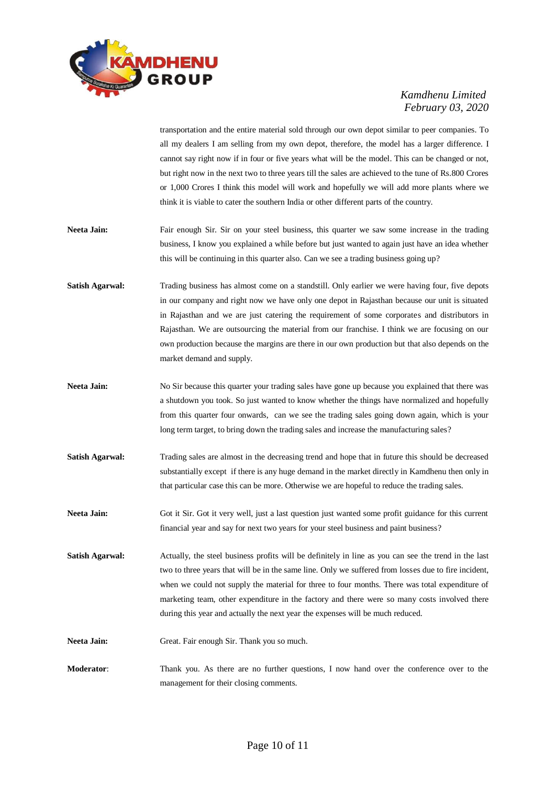

transportation and the entire material sold through our own depot similar to peer companies. To all my dealers I am selling from my own depot, therefore, the model has a larger difference. I cannot say right now if in four or five years what will be the model. This can be changed or not, but right now in the next two to three years till the sales are achieved to the tune of Rs.800 Crores or 1,000 Crores I think this model will work and hopefully we will add more plants where we think it is viable to cater the southern India or other different parts of the country.

- **Neeta Jain:** Fair enough Sir. Sir on your steel business, this quarter we saw some increase in the trading business, I know you explained a while before but just wanted to again just have an idea whether this will be continuing in this quarter also. Can we see a trading business going up?
- **Satish Agarwal:** Trading business has almost come on a standstill. Only earlier we were having four, five depots in our company and right now we have only one depot in Rajasthan because our unit is situated in Rajasthan and we are just catering the requirement of some corporates and distributors in Rajasthan. We are outsourcing the material from our franchise. I think we are focusing on our own production because the margins are there in our own production but that also depends on the market demand and supply.
- **Neeta Jain:** No Sir because this quarter your trading sales have gone up because you explained that there was a shutdown you took. So just wanted to know whether the things have normalized and hopefully from this quarter four onwards, can we see the trading sales going down again, which is your long term target, to bring down the trading sales and increase the manufacturing sales?
- **Satish Agarwal:** Trading sales are almost in the decreasing trend and hope that in future this should be decreased substantially except if there is any huge demand in the market directly in Kamdhenu then only in that particular case this can be more. Otherwise we are hopeful to reduce the trading sales.
- **Neeta Jain:** Got it Sir. Got it very well, just a last question just wanted some profit guidance for this current financial year and say for next two years for your steel business and paint business?
- **Satish Agarwal:** Actually, the steel business profits will be definitely in line as you can see the trend in the last two to three years that will be in the same line. Only we suffered from losses due to fire incident, when we could not supply the material for three to four months. There was total expenditure of marketing team, other expenditure in the factory and there were so many costs involved there during this year and actually the next year the expenses will be much reduced.
- Neeta Jain: Great. Fair enough Sir. Thank you so much.
- **Moderator:** Thank you. As there are no further questions, I now hand over the conference over to the management for their closing comments.